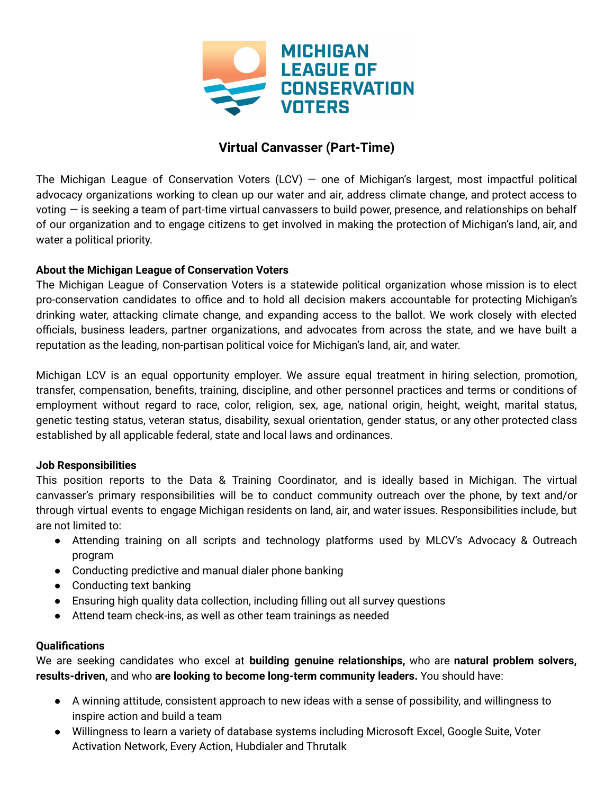

# **Virtual Canvasser (Part-Time)**

The Michigan League of Conservation Voters (LCV) – one of Michigan's largest, most impactful political advocacy organizations working to clean up our water and air, address climate change, and protect access to voting — is seeking a team of part-time virtual canvassers to build power, presence, and relationships on behalf of our organization and to engage citizens to get involved in making the protection of Michigan's land, air, and water a political priority.

## **About the Michigan League of Conservation Voters**

The Michigan League of Conservation Voters is a statewide political organization whose mission is to elect pro-conservation candidates to office and to hold all decision makers accountable for protecting Michigan's drinking water, attacking climate change, and expanding access to the ballot. We work closely with elected officials, business leaders, partner organizations, and advocates from across the state, and we have built a reputation as the leading, non-partisan political voice for Michigan's land, air, and water.

Michigan LCV is an equal opportunity employer. We assure equal treatment in hiring selection, promotion, transfer, compensation, benefits, training, discipline, and other personnel practices and terms or conditions of employment without regard to race, color, religion, sex, age, national origin, height, weight, marital status, genetic testing status, veteran status, disability, sexual orientation, gender status, or any other protected class established by all applicable federal, state and local laws and ordinances.

## **Job Responsibilities**

This position reports to the Data & Training Coordinator, and is ideally based in Michigan. The virtual canvasser's primary responsibilities will be to conduct community outreach over the phone, by text and/or through virtual events to engage Michigan residents on land, air, and water issues. Responsibilities include, but are not limited to:

- Attending training on all scripts and technology platforms used by MLCV's Advocacy & Outreach program
- Conducting predictive and manual dialer phone banking
- Conducting text banking
- Ensuring high quality data collection, including filling out all survey questions
- Attend team check-ins, as well as other team trainings as needed

## **Qualifications**

We are seeking candidates who excel at **building genuine relationships,** who are **natural problem solvers, results-driven,** and who **are looking to become long-term community leaders.** You should have:

- A winning attitude, consistent approach to new ideas with a sense of possibility, and willingness to inspire action and build a team
- Willingness to learn a variety of database systems including Microsoft Excel, Google Suite, Voter Activation Network, Every Action, Hubdialer and Thrutalk